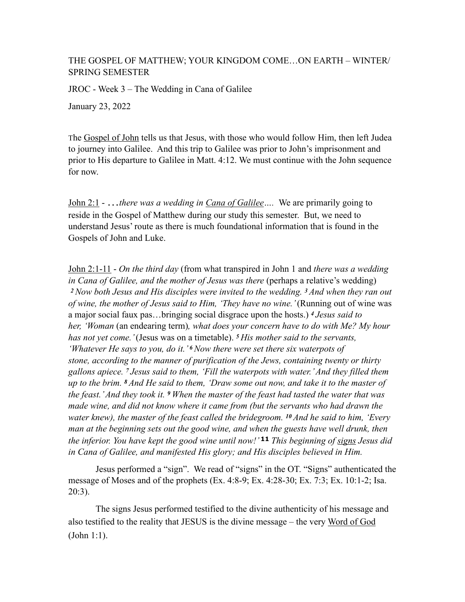## THE GOSPEL OF MATTHEW; YOUR KINGDOM COME…ON EARTH – WINTER/ SPRING SEMESTER

JROC - Week 3 – The Wedding in Cana of Galilee

January 23, 2022

The Gospel of John tells us that Jesus, with those who would follow Him, then left Judea to journey into Galilee. And this trip to Galilee was prior to John's imprisonment and prior to His departure to Galilee in Matt. 4:12. We must continue with the John sequence for now.

John 2:1 - …*there was a wedding in Cana of Galilee….* We are primarily going to reside in the Gospel of Matthew during our study this semester. But, we need to understand Jesus' route as there is much foundational information that is found in the Gospels of John and Luke.

John 2:1-11 - *On the third day* (from what transpired in John 1 and *there was a wedding in Cana of Galilee, and the mother of Jesus was there (perhaps a relative's wedding) <sup>2</sup>Now both Jesus and His disciples were invited to the wedding. 3 And when they ran out of wine, the mother of Jesus said to Him, 'They have no wine.'* (Running out of wine was a major social faux pas…bringing social disgrace upon the hosts.) *<sup>4</sup>Jesus said to her, 'Woman* (an endearing term)*, what does your concern have to do with Me? My hour has not yet come.'* (Jesus was on a timetable). *<sup>5</sup>His mother said to the servants, 'Whatever He says to you, do it.' 6 Now there were set there six waterpots of stone, according to the manner of purification of the Jews, containing twenty or thirty gallons apiece. 7 Jesus said to them, 'Fill the waterpots with water.' And they filled them up to the brim. 8 And He said to them, 'Draw some out now, and take it to the master of the feast.' And they took it. 9 When the master of the feast had tasted the water that was made wine, and did not know where it came from (but the servants who had drawn the water knew), the master of the feast called the bridegroom. 10 And he said to him, 'Every man at the beginning sets out the good wine, and when the guests have well drunk, then the inferior. You have kept the good wine until now!'* **11** *This beginning of signs Jesus did in Cana of Galilee, and manifested His glory; and His disciples believed in Him.* 

Jesus performed a "sign". We read of "signs" in the OT. "Signs" authenticated the message of Moses and of the prophets (Ex. 4:8-9; Ex. 4:28-30; Ex. 7:3; Ex. 10:1-2; Isa. 20:3).

The signs Jesus performed testified to the divine authenticity of his message and also testified to the reality that JESUS is the divine message – the very Word of God (John 1:1).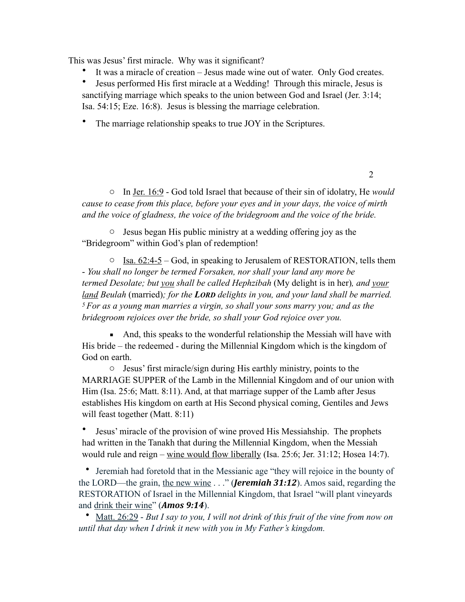This was Jesus' first miracle. Why was it significant?

It was a miracle of creation – Jesus made wine out of water. Only God creates.

• Jesus performed His first miracle at a Wedding! Through this miracle, Jesus is sanctifying marriage which speaks to the union between God and Israel (Jer. 3:14; Isa. 54:15; Eze. 16:8). Jesus is blessing the marriage celebration.

• The marriage relationship speaks to true JOY in the Scriptures.

o In Jer. 16:9 - God told Israel that because of their sin of idolatry, He *would cause to cease from this place, before your eyes and in your days, the voice of mirth and the voice of gladness, the voice of the bridegroom and the voice of the bride.*

2

o Jesus began His public ministry at a wedding offering joy as the "Bridegroom" within God's plan of redemption!

 $\circ$  Isa. 62:4-5 – God, in speaking to Jerusalem of RESTORATION, tells them - *You shall no longer be termed Forsaken, nor shall your land any more be termed Desolate; but you shall be called Hephzibah (My delight is in her), and your land Beulah* (married)*; for the LORD delights in you, and your land shall be married. 5 For as a young man marries a virgin, so shall your sons marry you; and as the bridegroom rejoices over the bride, so shall your God rejoice over you.* 

■ And, this speaks to the wonderful relationship the Messiah will have with His bride – the redeemed - during the Millennial Kingdom which is the kingdom of God on earth.

o Jesus' first miracle/sign during His earthly ministry, points to the MARRIAGE SUPPER of the Lamb in the Millennial Kingdom and of our union with Him (Isa. 25:6; Matt. 8:11). And, at that marriage supper of the Lamb after Jesus establishes His kingdom on earth at His Second physical coming, Gentiles and Jews will feast together (Matt. 8:11)

• Jesus' miracle of the provision of wine proved His Messiahship. The prophets had written in the Tanakh that during the Millennial Kingdom, when the Messiah would rule and reign – wine would flow liberally (Isa. 25:6; Jer. 31:12; Hosea 14:7).

• Jeremiah had foretold that in the Messianic age "they will rejoice in the bounty of the LORD—the grain, the new wine . . ." (*Jeremiah 31:12*). Amos said, regarding the RESTORATION of Israel in the Millennial Kingdom, that Israel "will plant vineyards and drink their wine" (*Amos* 9:14).

• Matt. 26:29 - *But I say to you, I will not drink of this fruit of the vine from now on until that day when I drink it new with you in My Father's kingdom.*